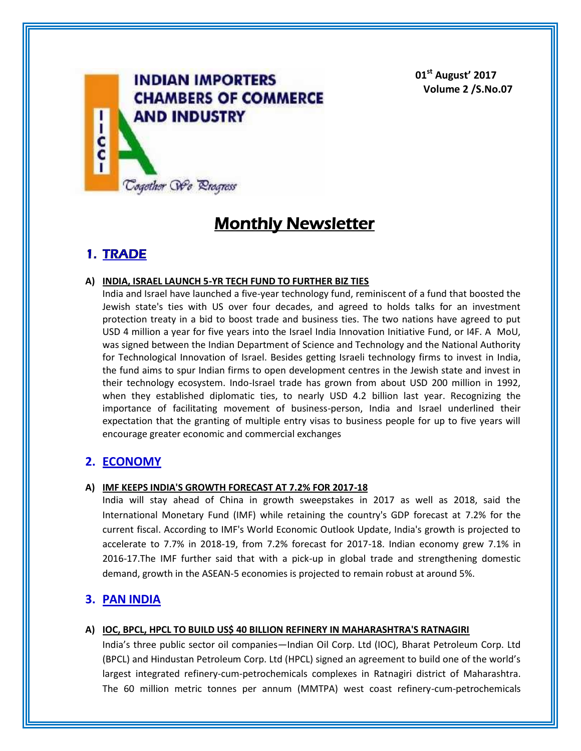

**01st August' 2017 Volume 2 /S.No.07**

# **Monthly Newsletter**

# **1. TRADE**

## **A) INDIA, ISRAEL LAUNCH 5-YR TECH FUND TO FURTHER BIZ TIES**

India and Israel have launched a five-year technology fund, reminiscent of a fund that boosted the Jewish state's ties with US over four decades, and agreed to holds talks for an investment protection treaty in a bid to boost trade and business ties. The two nations have agreed to put USD 4 million a year for five years into the Israel India Innovation Initiative Fund, or I4F. A MoU, was signed between the Indian Department of Science and Technology and the National Authority for Technological Innovation of Israel. Besides getting Israeli technology firms to invest in India, the fund aims to spur Indian firms to open development centres in the Jewish state and invest in their technology ecosystem. Indo-Israel trade has grown from about USD 200 million in 1992, when they established diplomatic ties, to nearly USD 4.2 billion last year. Recognizing the importance of facilitating movement of business-person, India and Israel underlined their expectation that the granting of multiple entry visas to business people for up to five years will encourage greater economic and commercial exchanges

# **2. ECONOMY**

### **A) IMF KEEPS INDIA'S GROWTH FORECAST AT 7.2% FOR 2017-18**

India will stay ahead of China in growth sweepstakes in 2017 as well as 2018, said the International Monetary Fund (IMF) while retaining the country's GDP forecast at 7.2% for the current fiscal. According to IMF's World Economic Outlook Update, India's growth is projected to accelerate to 7.7% in 2018-19, from 7.2% forecast for 2017-18. Indian economy grew 7.1% in 2016-17.The IMF further said that with a pick-up in global trade and strengthening domestic demand, growth in the ASEAN-5 economies is projected to remain robust at around 5%.

# **3. PAN INDIA**

### **A) IOC, BPCL, HPCL TO BUILD US\$ 40 BILLION REFINERY IN MAHARASHTRA'S RATNAGIRI**

India's three public sector oil companies—Indian Oil Corp. Ltd (IOC), Bharat Petroleum Corp. Ltd (BPCL) and Hindustan Petroleum Corp. Ltd (HPCL) signed an agreement to build one of the world's largest integrated refinery-cum-petrochemicals complexes in Ratnagiri district of Maharashtra. The 60 million metric tonnes per annum (MMTPA) west coast refinery-cum-petrochemicals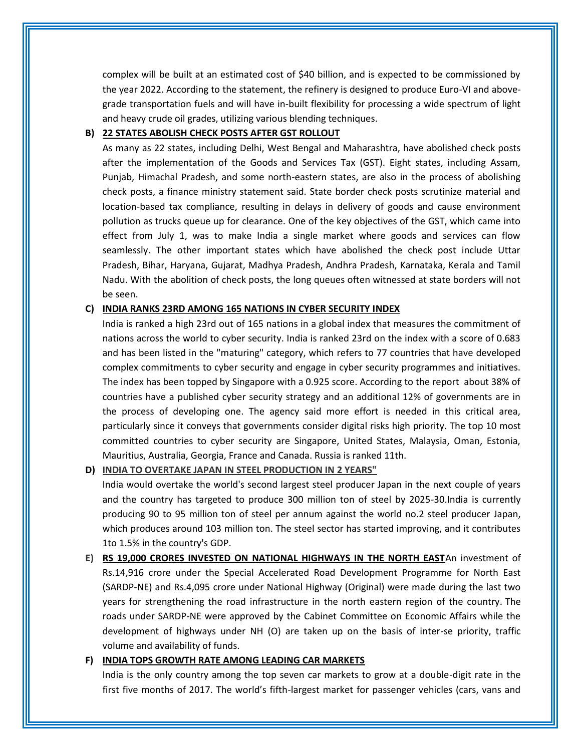complex will be built at an estimated cost of \$40 billion, and is expected to be commissioned by the year 2022. According to the statement, the refinery is designed to produce Euro-VI and abovegrade transportation fuels and will have in-built flexibility for processing a wide spectrum of light and heavy crude oil grades, utilizing various blending techniques.

#### **B) 22 STATES ABOLISH CHECK POSTS AFTER GST ROLLOUT**

As many as 22 states, including Delhi, West Bengal and Maharashtra, have abolished check posts after the implementation of the Goods and Services Tax (GST). Eight states, including Assam, Punjab, Himachal Pradesh, and some north-eastern states, are also in the process of abolishing check posts, a finance ministry statement said. State border check posts scrutinize material and location-based tax compliance, resulting in delays in delivery of goods and cause environment pollution as trucks queue up for clearance. One of the key objectives of the GST, which came into effect from July 1, was to make India a single market where goods and services can flow seamlessly. The other important states which have abolished the check post include Uttar Pradesh, Bihar, Haryana, Gujarat, Madhya Pradesh, Andhra Pradesh, Karnataka, Kerala and Tamil Nadu. With the abolition of check posts, the long queues often witnessed at state borders will not be seen.

#### **C) INDIA RANKS 23RD AMONG 165 NATIONS IN CYBER SECURITY INDEX**

India is ranked a high 23rd out of 165 nations in a global index that measures the commitment of nations across the world to cyber security. India is ranked 23rd on the index with a score of 0.683 and has been listed in the "maturing" category, which refers to 77 countries that have developed complex commitments to cyber security and engage in cyber security programmes and initiatives. The index has been topped by Singapore with a 0.925 score. According to the report about 38% of countries have a published cyber security strategy and an additional 12% of governments are in the process of developing one. The agency said more effort is needed in this critical area, particularly since it conveys that governments consider digital risks high priority. The top 10 most committed countries to cyber security are Singapore, United States, Malaysia, Oman, Estonia, Mauritius, Australia, Georgia, France and Canada. Russia is ranked 11th.

#### **D) INDIA TO OVERTAKE JAPAN IN STEEL PRODUCTION IN 2 YEARS"**

India would overtake the world's second largest steel producer Japan in the next couple of years and the country has targeted to produce 300 million ton of steel by 2025-30.India is currently producing 90 to 95 million ton of steel per annum against the world no.2 steel producer Japan, which produces around 103 million ton. The steel sector has started improving, and it contributes 1to 1.5% in the country's GDP.

**E) RS 19,000 CRORES INVESTED ON NATIONAL HIGHWAYS IN THE NORTH EAST**An investment of Rs.14,916 crore under the Special Accelerated Road Development Programme for North East (SARDP-NE) and Rs.4,095 crore under National Highway (Original) were made during the last two years for strengthening the road infrastructure in the north eastern region of the country. The roads under SARDP-NE were approved by the Cabinet Committee on Economic Affairs while the development of highways under NH (O) are taken up on the basis of inter-se priority, traffic volume and availability of funds.

#### **F) INDIA TOPS GROWTH RATE AMONG LEADING CAR MARKETS**

India is the only country among the top seven car markets to grow at a double-digit rate in the first five months of 2017. The world's fifth-largest market for passenger vehicles (cars, vans and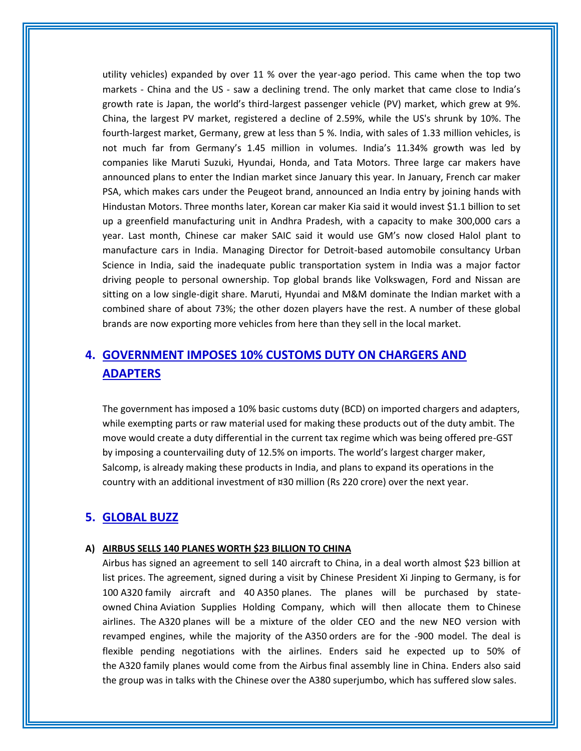utility vehicles) expanded by over 11 % over the year-ago period. This came when the top two markets - China and the US - saw a declining trend. The only market that came close to India's growth rate is Japan, the world's third-largest passenger vehicle (PV) market, which grew at 9%. China, the largest PV market, registered a decline of 2.59%, while the US's shrunk by 10%. The fourth-largest market, Germany, grew at less than 5 %. India, with sales of 1.33 million vehicles, is not much far from Germany's 1.45 million in volumes. India's 11.34% growth was led by companies like Maruti Suzuki, Hyundai, Honda, and Tata Motors. Three large car makers have announced plans to enter the Indian market since January this year. In January, French car maker PSA, which makes cars under the Peugeot brand, announced an India entry by joining hands with Hindustan Motors. Three months later, Korean car maker Kia said it would invest \$1.1 billion to set up a greenfield manufacturing unit in Andhra Pradesh, with a capacity to make 300,000 cars a year. Last month, Chinese car maker SAIC said it would use GM's now closed Halol plant to manufacture cars in India. Managing Director for Detroit-based automobile consultancy Urban Science in India, said the inadequate public transportation system in India was a major factor driving people to personal ownership. Top global brands like Volkswagen, Ford and Nissan are sitting on a low single-digit share. Maruti, Hyundai and M&M dominate the Indian market with a combined share of about 73%; the other dozen players have the rest. A number of these global brands are now exporting more vehicles from here than they sell in the local market.

# **4. GOVERNMENT IMPOSES 10% CUSTOMS DUTY ON CHARGERS AND ADAPTERS**

The government has imposed a 10% basic customs duty (BCD) on imported chargers and adapters, while exempting parts or raw material used for making these products out of the duty ambit. The move would create a duty differential in the current tax regime which was being offered pre-GST by imposing a countervailing duty of 12.5% on imports. The world's largest charger maker, Salcomp, is already making these products in India, and plans to expand its operations in the country with an additional investment of ¤30 million (Rs 220 crore) over the next year.

# **5. GLOBAL BUZZ**

#### **A) AIRBUS SELLS 140 PLANES WORTH \$23 BILLION TO CHINA**

Airbus has signed an agreement to sell 140 aircraft to China, in a deal worth almost \$23 billion at list prices. The agreement, signed during a visit by Chinese President Xi Jinping to Germany, is for 100 A320 family aircraft and 40 A350 planes. The planes will be purchased by stateowned China Aviation Supplies Holding Company, which will then allocate them to Chinese airlines. The A320 planes will be a mixture of the older CEO and the new NEO version with revamped engines, while the majority of the A350 orders are for the -900 model. The deal is flexible pending negotiations with the airlines. Enders said he expected up to 50% of the A320 family planes would come from the Airbus final assembly line in China. Enders also said the group was in talks with the Chinese over the A380 superjumbo, which has suffered slow sales.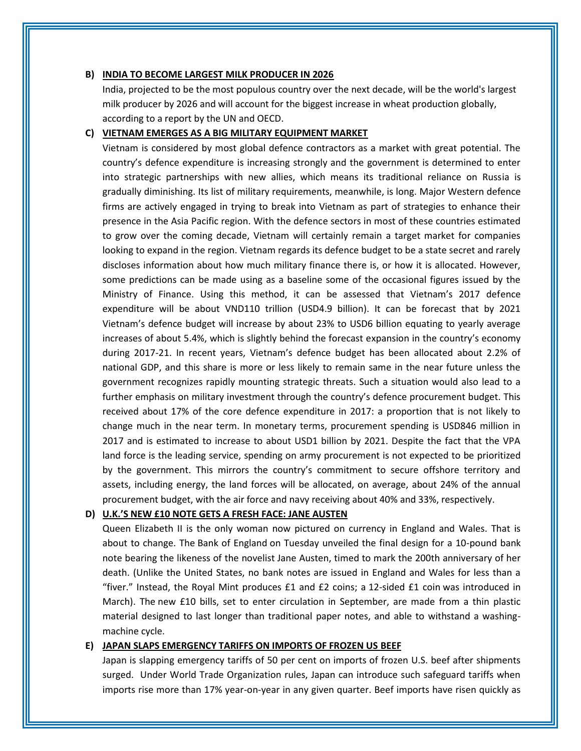#### **B) INDIA TO BECOME LARGEST MILK PRODUCER IN 2026**

India, projected to be the most populous country over the next decade, will be the world's largest milk producer by 2026 and will account for the biggest increase in wheat production globally, according to a report by the UN and OECD.

#### **C) VIETNAM EMERGES AS A BIG MILITARY EQUIPMENT MARKET**

Vietnam is considered by most global defence contractors as a market with great potential. The country's defence expenditure is increasing strongly and the government is determined to enter into strategic partnerships with new allies, which means its traditional reliance on Russia is gradually diminishing. Its list of military requirements, meanwhile, is long. Major Western defence firms are actively engaged in trying to break into Vietnam as part of strategies to enhance their presence in the Asia Pacific region. With the defence sectors in most of these countries estimated to grow over the coming decade, Vietnam will certainly remain a target market for companies looking to expand in the region. Vietnam regards its defence budget to be a state secret and rarely discloses information about how much military finance there is, or how it is allocated. However, some predictions can be made using as a baseline some of the occasional figures issued by the Ministry of Finance. Using this method, it can be assessed that Vietnam's 2017 defence expenditure will be about VND110 trillion (USD4.9 billion). It can be forecast that by 2021 Vietnam's defence budget will increase by about 23% to USD6 billion equating to yearly average increases of about 5.4%, which is slightly behind the forecast expansion in the country's economy during 2017-21. In recent years, Vietnam's defence budget has been allocated about 2.2% of national GDP, and this share is more or less likely to remain same in the near future unless the government recognizes rapidly mounting strategic threats. Such a situation would also lead to a further emphasis on military investment through the country's defence procurement budget. This received about 17% of the core defence expenditure in 2017: a proportion that is not likely to change much in the near term. In monetary terms, procurement spending is USD846 million in 2017 and is estimated to increase to about USD1 billion by 2021. Despite the fact that the VPA land force is the leading service, spending on army procurement is not expected to be prioritized by the government. This mirrors the country's commitment to secure offshore territory and assets, including energy, the land forces will be allocated, on average, about 24% of the annual procurement budget, with the air force and navy receiving about 40% and 33%, respectively.

#### **D) U.K.'S NEW £10 NOTE GETS A FRESH FACE: JANE AUSTEN**

Queen Elizabeth II is the only woman now pictured on currency in England and Wales. That is about to change. The Bank of England on Tuesday unveiled the final design for a 10-pound bank note bearing the likeness of the novelist Jane Austen, timed to mark the 200th anniversary of her death. (Unlike the United States, no bank notes are issued in England and Wales for less than a "fiver." Instead, the Royal Mint produces  $£1$  and  $£2$  coins; a 12-sided  $£1$  coin was introduced in March). The new £10 bills, set to enter circulation in September, are made from a thin plastic material designed to last longer than traditional paper notes, and able to withstand a washingmachine cycle.

#### **E) JAPAN SLAPS EMERGENCY TARIFFS ON IMPORTS OF FROZEN US BEEF**

Japan is slapping emergency tariffs of 50 per cent on imports of frozen U.S. beef after shipments surged. Under World Trade Organization rules, Japan can introduce such safeguard tariffs when imports rise more than 17% year-on-year in any given quarter. Beef imports have risen quickly as